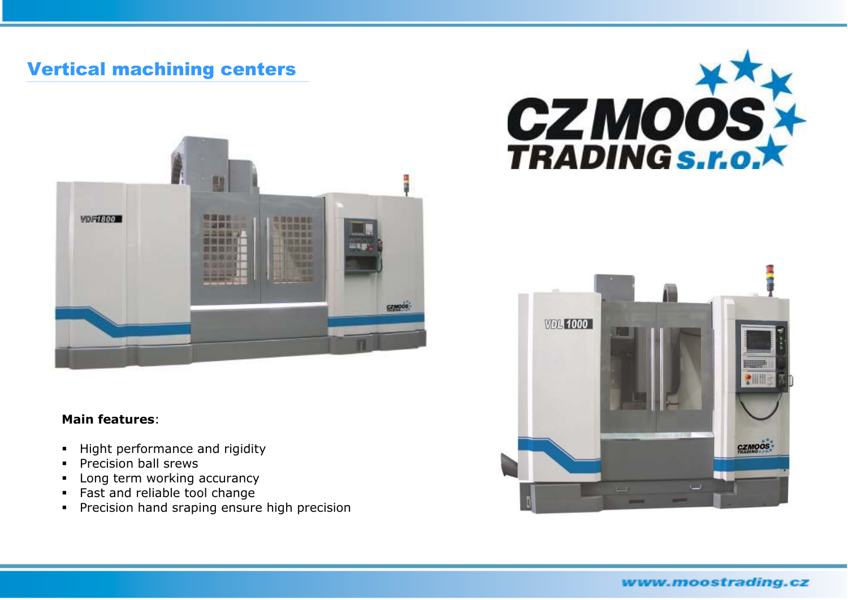## Vertical machining centers



## **Main features**:

- $\blacksquare$ Hight performance and rigidity
- $\blacksquare$ Precision ball srews
- $\blacksquare$ Long term working accurancy
- **Fast and reliable tool change**
- **Precision hand sraping ensure high precision**





www.moostrading.cz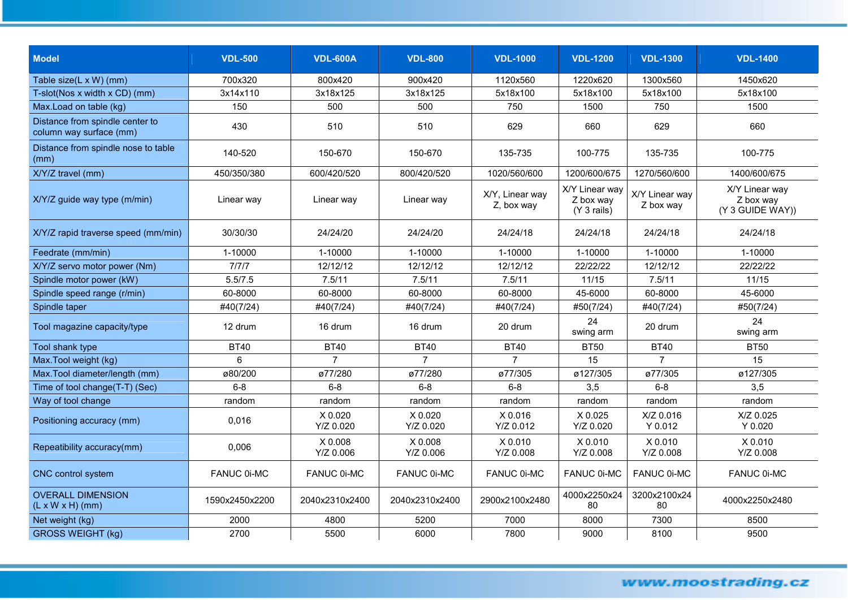| <b>Model</b>                                               | <b>VDL-500</b> | <b>VDL-600A</b>          | <b>VDL-800</b>           | <b>VDL-1000</b>               | <b>VDL-1200</b>                            | <b>VDL-1300</b>             | <b>VDL-1400</b>                                 |
|------------------------------------------------------------|----------------|--------------------------|--------------------------|-------------------------------|--------------------------------------------|-----------------------------|-------------------------------------------------|
| Table size(L x W) (mm)                                     | 700x320        | 800x420                  | 900x420                  | 1120x560                      | 1220x620                                   | 1300x560                    | 1450x620                                        |
| T-slot(Nos x width x CD) (mm)                              | 3x14x110       | 3x18x125                 | 3x18x125                 | 5x18x100                      | 5x18x100                                   | 5x18x100                    | 5x18x100                                        |
| Max.Load on table (kg)                                     | 150            | 500                      | 500                      | 750                           | 1500                                       | 750                         | 1500                                            |
| Distance from spindle center to<br>column way surface (mm) | 430            | 510                      | 510                      | 629                           | 660                                        | 629                         | 660                                             |
| Distance from spindle nose to table<br>(mm)                | 140-520        | 150-670                  | 150-670                  | 135-735                       | 100-775                                    | 135-735                     | 100-775                                         |
| X/Y/Z travel (mm)                                          | 450/350/380    | 600/420/520              | 800/420/520              | 1020/560/600                  | 1200/600/675                               | 1270/560/600                | 1400/600/675                                    |
| X/Y/Z guide way type (m/min)                               | Linear way     | Linear way               | Linear way               | X/Y, Linear way<br>Z, box way | X/Y Linear way<br>Z box way<br>(Y 3 rails) | X/Y Linear way<br>Z box way | X/Y Linear way<br>Z box way<br>(Y 3 GUIDE WAY)) |
| X/Y/Z rapid traverse speed (mm/min)                        | 30/30/30       | 24/24/20                 | 24/24/20                 | 24/24/18                      | 24/24/18                                   | 24/24/18                    | 24/24/18                                        |
| Feedrate (mm/min)                                          | 1-10000        | 1-10000                  | 1-10000                  | 1-10000                       | 1-10000                                    | 1-10000                     | 1-10000                                         |
| X/Y/Z servo motor power (Nm)                               | 7/7/7          | 12/12/12                 | 12/12/12                 | 12/12/12                      | 22/22/22                                   | 12/12/12                    | 22/22/22                                        |
| Spindle motor power (kW)                                   | 5.5/7.5        | 7.5/11                   | 7.5/11                   | 7.5/11                        | 11/15                                      | 7.5/11                      | 11/15                                           |
| Spindle speed range (r/min)                                | 60-8000        | 60-8000                  | 60-8000                  | 60-8000                       | 45-6000                                    | 60-8000                     | 45-6000                                         |
| Spindle taper                                              | #40(7/24)      | #40(7/24)                | #40(7/24)                | #40(7/24)                     | #50(7/24)                                  | #40(7/24)                   | #50(7/24)                                       |
| Tool magazine capacity/type                                | 12 drum        | 16 drum                  | 16 drum                  | 20 drum                       | 24<br>swing arm                            | 20 drum                     | 24<br>swing arm                                 |
| Tool shank type                                            | <b>BT40</b>    | <b>BT40</b>              | <b>BT40</b>              | <b>BT40</b>                   | <b>BT50</b>                                | <b>BT40</b>                 | <b>BT50</b>                                     |
| Max. Tool weight (kg)                                      | 6              | $\overline{7}$           | $\overline{7}$           |                               | 15                                         | $\overline{7}$              | 15                                              |
| Max. Tool diameter/length (mm)                             | ø80/200        | ø77/280                  | ø77/280                  | ø77/305                       | ø127/305                                   | ø77/305                     | ø127/305                                        |
| Time of tool change(T-T) (Sec)                             | $6 - 8$        | $6 - 8$                  | $6 - 8$                  | $6 - 8$                       | 3,5                                        | $6 - 8$                     | 3,5                                             |
| Way of tool change                                         | random         | random                   | random                   | random                        | random                                     | random                      | random                                          |
| Positioning accuracy (mm)                                  | 0.016          | $X$ 0.020<br>$Y/Z$ 0.020 | $X$ 0.020<br>$Y/Z$ 0.020 | $X$ 0.016<br>Y/Z 0.012        | X 0.025<br>Y/Z 0.020                       | X/Z 0.016<br>$Y$ 0.012      | X/Z 0.025<br>$Y$ 0.020                          |
| Repeatibility accuracy(mm)                                 | 0.006          | X 0.008<br>Y/Z 0.006     | $X$ 0.008<br>Y/Z 0.006   | $X$ 0.010<br>Y/Z 0.008        | $X$ 0.010<br>Y/Z 0.008                     | $X$ 0.010<br>Y/Z 0.008      | $X$ 0.010<br>Y/Z 0.008                          |
| CNC control system                                         | FANUC 0i-MC    | <b>FANUC 0i-MC</b>       | FANUC 0i-MC              | FANUC 0i-MC                   | <b>FANUC 0i-MC</b>                         | FANUC 0i-MC                 | FANUC 0i-MC                                     |
| <b>OVERALL DIMENSION</b><br>$(L x W x H)$ (mm)             | 1590x2450x2200 | 2040x2310x2400           | 2040x2310x2400           | 2900x2100x2480                | 4000x2250x24<br>80                         | 3200x2100x24<br>80          | 4000x2250x2480                                  |
| Net weight (kg)                                            | 2000           | 4800                     | 5200                     | 7000                          | 8000                                       | 7300                        | 8500                                            |
| <b>GROSS WEIGHT (kg)</b>                                   | 2700           | 5500                     | 6000                     | 7800                          | 9000                                       | 8100                        | 9500                                            |